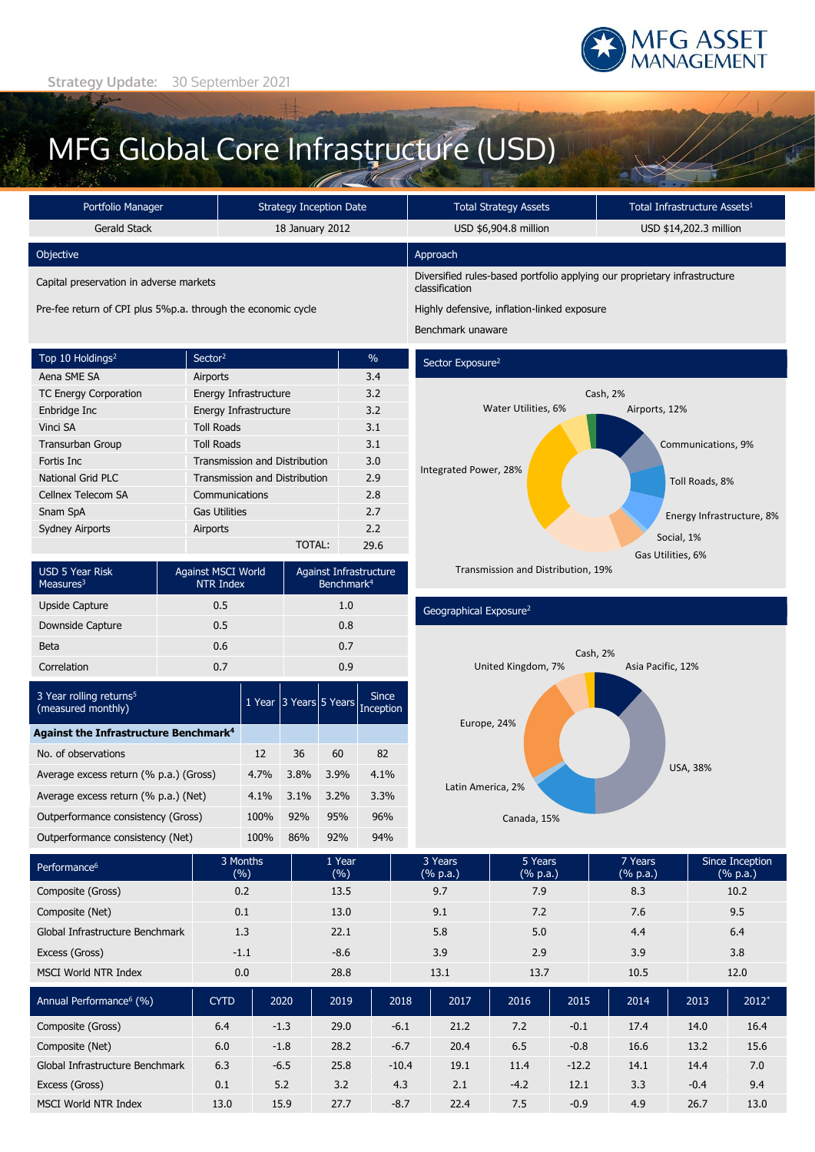

Airports, 12%

Cash, 2%

Communications, 9%

Toll Roads, 8%

Social, 1% Gas Utilities, 6%

Energy Infrastructure, 8%

# MFG Global Core Infrastructure (USD)

| Portfolio Manager                       | Strategy Inception Date                                      | <b>Total Strategy Assets</b>                                                                | Total Infrastructure Assets <sup>1</sup>    |  |
|-----------------------------------------|--------------------------------------------------------------|---------------------------------------------------------------------------------------------|---------------------------------------------|--|
| Gerald Stack                            | 18 January 2012                                              | USD \$6,904.8 million                                                                       | USD \$14,202.3 million                      |  |
| Objective                               |                                                              | Approach                                                                                    |                                             |  |
| Capital preservation in adverse markets |                                                              | Diversified rules-based portfolio applying our proprietary infrastructure<br>classification |                                             |  |
|                                         | Pre-fee return of CPI plus 5%p.a. through the economic cycle |                                                                                             | Highly defensive, inflation-linked exposure |  |
|                                         |                                                              | Benchmark unaware                                                                           |                                             |  |

Sector Exposure<sup>2</sup>

Integrated Power, 28%

| Top 10 Holdings <sup>2</sup> | Sector <sup>2</sup>                  | $\frac{0}{0}$ |
|------------------------------|--------------------------------------|---------------|
| Aena SME SA                  | Airports                             | 3.4           |
| <b>TC Energy Corporation</b> | Energy Infrastructure                | 3.2           |
| Enbridge Inc                 | Energy Infrastructure                | 3.2           |
| Vinci SA                     | <b>Toll Roads</b>                    | 3.1           |
| <b>Transurban Group</b>      | <b>Toll Roads</b>                    | 3.1           |
| Fortis Inc.                  | <b>Transmission and Distribution</b> | 3.0           |
| National Grid PLC            | <b>Transmission and Distribution</b> | 2.9           |
| Cellnex Telecom SA           | Communications                       | 2.8           |
| Snam SpA                     | <b>Gas Utilities</b>                 | 2.7           |
| <b>Sydney Airports</b>       | Airports                             | 2.2           |
|                              | TOTAL:                               | 29.6          |

| <b>USD 5 Year Risk</b><br>Measures $3$ | Against MSCI World<br><b>NTR Index</b> | Against Infrastructure<br>Benchmark <sup>4</sup> |
|----------------------------------------|----------------------------------------|--------------------------------------------------|
| Upside Capture                         | 0.5                                    | 1.0                                              |
| Downside Capture                       | 0.5                                    | 0.8                                              |
| Beta                                   | 0.6                                    | 0.7                                              |
| Correlation                            | 0.7                                    | 0.9                                              |

| 3 Year rolling returns <sup>5</sup><br>(measured monthly) | 1 Year | 3 Years 5 Years |      | <b>Since</b><br>Inception |  |
|-----------------------------------------------------------|--------|-----------------|------|---------------------------|--|
| <b>Against the Infrastructure Benchmark<sup>4</sup></b>   |        |                 |      |                           |  |
| No. of observations                                       | 12     | 36              | 60   | 82                        |  |
| Average excess return (% p.a.) (Gross)                    | 4.7%   | 3.8%            | 3.9% | 4.1%                      |  |
| Average excess return (% p.a.) (Net)                      | 4.1%   | $3.1\%$         | 3.2% | 3.3%                      |  |
| Outperformance consistency (Gross)                        | 100%   | 92%             | 95%  | 96%                       |  |
| Outperformance consistency (Net)                          | 100%   | 86%             | 92%  | 94%                       |  |



Water Utilities, 6%

Geographical Exposure<sup>2</sup>



| Performance <sup>6</sup>            | 3 Months<br>(%) |        | 1 Year<br>(%) |         | 3 Years<br>(% p.a.) | 5 Years<br>(% p.a.) |         | 7 Years<br>$(% \mathbb{R}^2)$ (% p.a.) |        | Since Inception<br>(% p.a.) |  |
|-------------------------------------|-----------------|--------|---------------|---------|---------------------|---------------------|---------|----------------------------------------|--------|-----------------------------|--|
| Composite (Gross)                   | 0.2             |        | 13.5          |         | 9.7                 | 7.9                 |         | 8.3                                    |        | 10.2                        |  |
| Composite (Net)                     | 0.1             |        | 13.0          |         | 9.1                 | 7.2                 |         | 7.6                                    |        | 9.5                         |  |
| Global Infrastructure Benchmark     | 1.3             |        | 22.1          |         | 5.8                 | 5.0                 |         | 4.4                                    |        | 6.4                         |  |
| Excess (Gross)                      | $-1.1$          |        | $-8.6$        |         | 3.9                 | 2.9                 |         | 3.9                                    |        | 3.8                         |  |
| <b>MSCI World NTR Index</b>         | 0.0             |        | 28.8          |         | 13.1                |                     | 13.7    | 10.5                                   |        | 12.0                        |  |
| Annual Performance <sup>6</sup> (%) | <b>CYTD</b>     | 2020   | 2019          | 2018    | 2017                | 2016                | 2015    | 2014                                   | 2013   | $2012*$                     |  |
| Composite (Gross)                   | 6.4             | $-1.3$ | 29.0          | $-6.1$  | 21.2                | 7.2                 | $-0.1$  | 17.4                                   | 14.0   | 16.4                        |  |
| Composite (Net)                     | 6.0             | $-1.8$ | 28.2          | $-6.7$  | 20.4                | 6.5                 | $-0.8$  | 16.6                                   | 13.2   | 15.6                        |  |
| Global Infrastructure Benchmark     |                 |        |               |         |                     |                     |         |                                        |        | 7.0                         |  |
|                                     | 6.3             | $-6.5$ | 25.8          | $-10.4$ | 19.1                | 11.4                | $-12.2$ | 14.1                                   | 14.4   |                             |  |
| Excess (Gross)                      | 0.1             | 5.2    | 3.2           | 4.3     | 2.1                 | $-4.2$              | 12.1    | 3.3                                    | $-0.4$ | 9.4                         |  |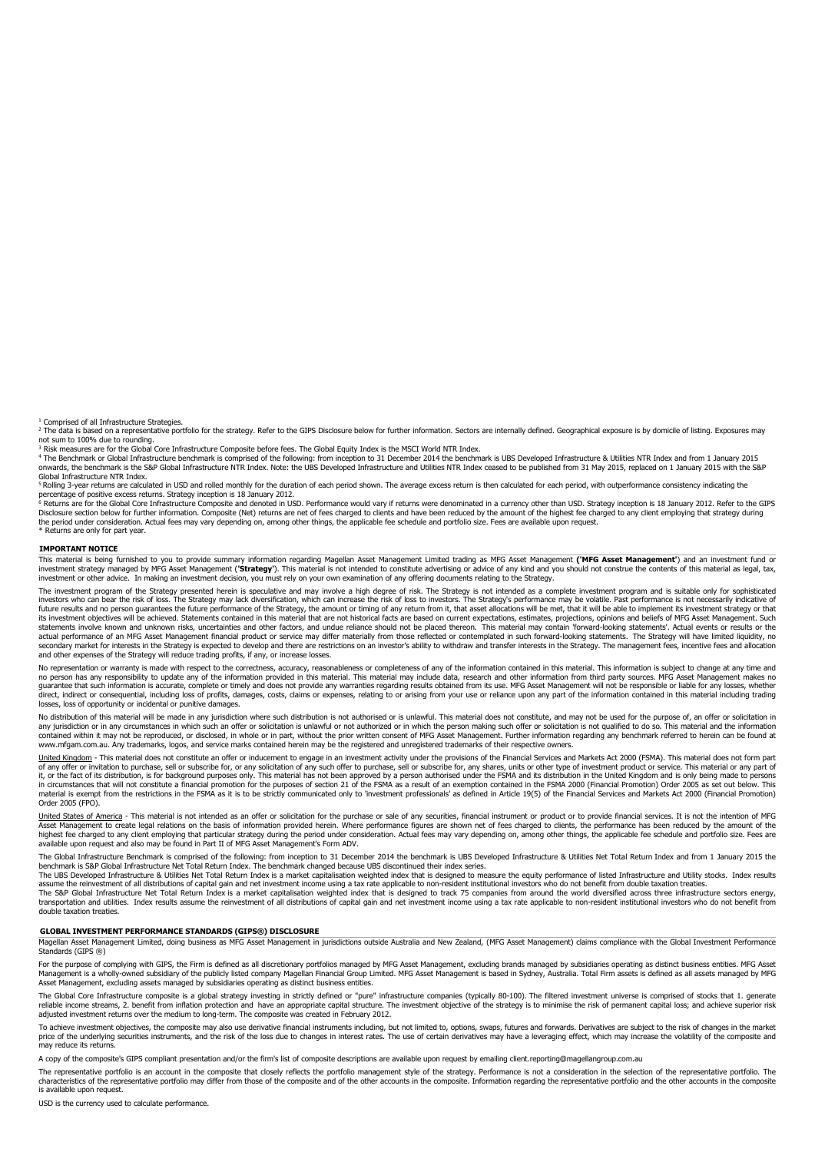<sup>1</sup> Comprised of all Infrastructure Strategies <sup>2</sup> The data is based on a representative portfolio for the strategy. Refer to the GIPS Disclosure below for further information. Sectors are internally defined. Geographical exposure is by domicile of listing. Exposures may

not sum to 100% due to rounding.<br><sup>3</sup> Risk measures are for the Global Core Infrastructure Composite before fees. The Global Equity Index is the MSCI World NTR Index.<br><sup>4</sup> The Benchmark or Global Infrastructure benchmark is onwards, the benchmark is the S&P Global Infrastructure NTR Index. Note: the UBS Developed Infrastructure and Utilities NTR Index ceased to be published from 31 May 2015, replaced on 1 January 2015 with the S&P

Global Infrastructure NTR Index.  $5$ Rolling 3-year returns are calculated in USD and rolled monthly for the duration of each period shown. The average excess return is then calculated for each period, with outperformance consistency indicating the

percentage of positive excess returns. Strategy inception is 18 January 2012.<br><sup>6</sup> Returns are for the Global Core Infrastructure Composite and denoted in USD. Performance would vary if returns were denominated in a currenc

Disclosure section below for further information. Composite (Net) returns are net of fees charged to clients and have been reduced by the amount of the highest fee charged to any client employing that strategy during<br>the p

\* Returns are only for part year.

### **IMPORTANT NOTICE**

This material is being furnished to you to provide summary information regarding Magellan Asset Management limited trading as MFG Asset Managemen**t ('MFG Asset Management'**) and an investment fund or<br>investment strategy ma investment or other advice. In making an investment decision, you must rely on your own examination of any offering documents relating to the Strategy.

The investment program of the Strategy presented herein is speculative and may involve a high degree of risk. The Strategy is not intended as a complete investment program and is suitable only for sophisticated investors who can bear the risk of loss. The Strategy may lack diversification, which can increase the risk of loss to investors. The Strategy's performance may be volatile. Past performance is not necessarily indicative o future results and no person guarantees the future performance of the Strategy, the amount or timing of any return from it, that asset allocations will be met, that it will be able to implement its investment strategy or t statements involve known and unknown risks, uncertainties and other factors, and undue reliance should not be placed thereon. This material may contain 'forward-looking statements'. Actual events or results or the actual performance of an MFG Asset Management financial product or service may differ materially from those reflected or contemplated in such forward-looking statements. The Strategy will have limited liquidity, no secondary market for interests in the Strategy is expected to develop and there are restrictions on an investor's ability to withdraw and transfer interests in the Strategy. The management fees, incentive fees and allocati and other expenses of the Strategy will reduce trading profits, if any, or increase losses.

No representation or warranty is made with respect to the correctness, accuracy, reasonableness or completeness of any of the information contained in this material. This information is subject to change at any time and no person has any responsibility to update any of the information provided in this material. This material may include data, research and other information from third party sources. MFG Asset Management makes no also the a losses, loss of opportunity or incidental or punitive damages.

No distribution of this material will be made in any jurisdiction where such distribution is not authorised or is unlawful. This material does not constitute, and may not be used for the purpose of, an offer or solicitatio contained within it may not be reproduced, or disclosed, in whole or in part, without the prior written consent of MFG Asset Management. Further information regarding any benchmark referred to herein can be found at consta www.mfgam.com.au. Any trademarks, logos, and service marks contained herein may be the registered and unregistered trademarks of their respective owners.

United Kingdom - This material does not constitute an offer or inducement to engage in an investment activity under the provisions of the Financial Services and Markets Act 2000 (FSMA). This material does not form part of any offer or invitation to purchase, sell or subscribe for, or any solicitation of any such offer to purchase, sell or subscribe for, any shares, units or other type of investment product or service. This material or an in circumstances that will not constitute a financial promotion for the purposes of section 21 of the FSMA as a result of an exemption contained in the FSMA 2000 (Financial Promotion) Order 2005 as set out below. This<br>mate

<u>United States of America</u> - This material is not intended as an offer or solicitation for the purchase or sale of any securities, financial instrument or product or to provide financial services. It is not the intention o

available upon request and also may be found in Part II of MFG Asset Management's Form ADV. The Global Infrastructure Benchmark is comprised of the following: from inception to 31 December 2014 the benchmark is UBS Developed Infrastructure & Utilities Net Total Return Index and from 1 January 2015 the

benchmark is S&P Global Infrastructure Net Total Return Index. The benchmark changed because UBS discontinued their index series.<br>The UBS Developed Infrastructure & Utilities Net Total Return Index is a market capitalisati

assume the reinvestment of all distributions of capital gain and net investment income using a tax rate applicable to non-resident institutional investors who do not benefit from double taxation treaties.<br>The S&P Global In double taxation treaties.

#### **GLOBAL INVESTMENT PERFORMANCE STANDARDS (GIPS®) DISCLOSURE**

Magellan Asset Management Limited, doing business as MFG Asset Management in jurisdictions outside Australia and New Zealand, (MFG Asset Management) claims compliance with the Global Investment Performance Standards (GIPS ®)

For the purpose of complying with GIPS, the Firm is defined as all discretionary portfolios managed by MFG Asset Management, excluding brands managed by subsidiaries operating as distinct business entities. MFG Asset Management is a wholly-owned subsidiary of the publicly listed company Magellan Financial Group Limited. MFG Asset Management is based in Sydney, Australia. Total Firm assets is defined as all assets managed by MFG<br>Asset M

The Global Core Infrastructure composite is a global strategy investing in strictly defined or "pure" infrastructure companies (typically 80-100). The filtered investment universe is comprised of stocks that 1. generate<br>re

To achieve investment objectives, the composite may also use derivative financial instruments including, but not limited to, options, swaps, futures and forwards. Derivatives are subject to the risk of changes in the marke may reduce its returns.

A copy of the composite's GIPS compliant presentation and/or the firm's list of composite descriptions are available upon request by emailing client.reporting@magellangroup.com.au

The representative portfolio is an account in the composite that closely reflects the portfolio management style of the strategy. Performance is not a consideration in the selection of the representative portfolio. The<br>cha is available upon request.

USD is the currency used to calculate performance.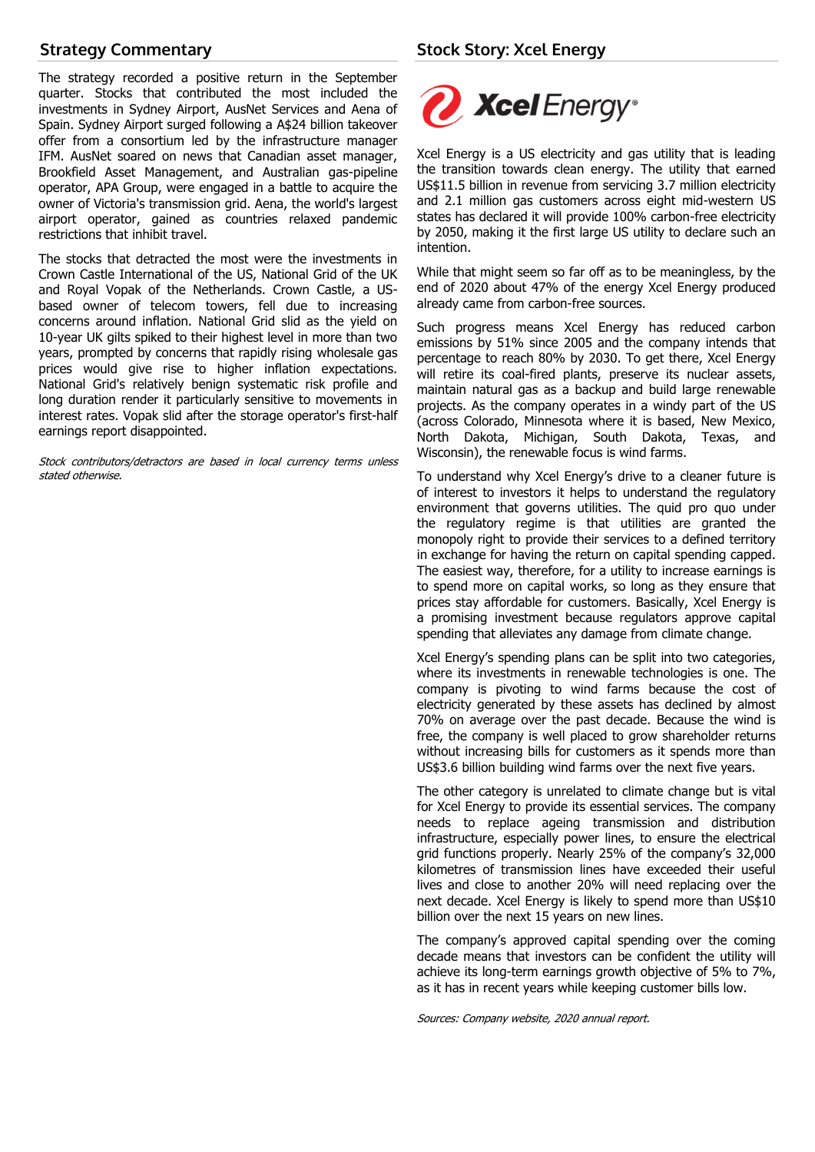## **Strategy Commentary**

The strategy recorded a positive return in the September quarter. Stocks that contributed the most included the investments in Sydney Airport, AusNet Services and Aena of Spain. Sydney Airport surged following a A\$24 billion takeover offer from a consortium led by the infrastructure manager IFM. AusNet soared on news that Canadian asset manager, Brookfield Asset Management, and Australian gas-pipeline operator, APA Group, were engaged in a battle to acquire the owner of Victoria's transmission grid. Aena, the world's largest airport operator, gained as countries relaxed pandemic restrictions that inhibit travel.

The stocks that detracted the most were the investments in Crown Castle International of the US, National Grid of the UK and Royal Vopak of the Netherlands. Crown Castle, a USbased owner of telecom towers, fell due to increasing concerns around inflation. National Grid slid as the yield on 10-year UK gilts spiked to their highest level in more than two years, prompted by concerns that rapidly rising wholesale gas prices would give rise to higher inflation expectations. National Grid's relatively benign systematic risk profile and long duration render it particularly sensitive to movements in interest rates. Vopak slid after the storage operator's first-half earnings report disappointed.

Stock contributors/detractors are based in local currency terms unless stated otherwise.



Xcel Energy is a US electricity and gas utility that is leading the transition towards clean energy. The utility that earned US\$11.5 billion in revenue from servicing 3.7 million electricity and 2.1 million gas customers across eight mid-western US states has declared it will provide 100% carbon-free electricity by 2050, making it the first large US utility to declare such an intention.

While that might seem so far off as to be meaningless, by the end of 2020 about 47% of the energy Xcel Energy produced already came from carbon-free sources.

Such progress means Xcel Energy has reduced carbon emissions by 51% since 2005 and the company intends that percentage to reach 80% by 2030. To get there, Xcel Energy will retire its coal-fired plants, preserve its nuclear assets, maintain natural gas as a backup and build large renewable projects. As the company operates in a windy part of the US (across Colorado, Minnesota where it is based, New Mexico, North Dakota, Michigan, South Dakota, Texas, and Wisconsin), the renewable focus is wind farms.

To understand why Xcel Energy's drive to a cleaner future is of interest to investors it helps to understand the regulatory environment that governs utilities. The quid pro quo under the regulatory regime is that utilities are granted the monopoly right to provide their services to a defined territory in exchange for having the return on capital spending capped. The easiest way, therefore, for a utility to increase earnings is to spend more on capital works, so long as they ensure that prices stay affordable for customers. Basically, Xcel Energy is a promising investment because regulators approve capital spending that alleviates any damage from climate change.

Xcel Energy's spending plans can be split into two categories, where its investments in renewable technologies is one. The company is pivoting to wind farms because the cost of electricity generated by these assets has declined by almost 70% on average over the past decade. Because the wind is free, the company is well placed to grow shareholder returns without increasing bills for customers as it spends more than US\$3.6 billion building wind farms over the next five years.

The other category is unrelated to climate change but is vital for Xcel Energy to provide its essential services. The company needs to replace ageing transmission and distribution infrastructure, especially power lines, to ensure the electrical grid functions properly. Nearly 25% of the company's 32,000 kilometres of transmission lines have exceeded their useful lives and close to another 20% will need replacing over the next decade. Xcel Energy is likely to spend more than US\$10 billion over the next 15 years on new lines.

The company's approved capital spending over the coming decade means that investors can be confident the utility will achieve its long-term earnings growth objective of 5% to 7%, as it has in recent years while keeping customer bills low.

Sources: Company website, 2020 annual report.